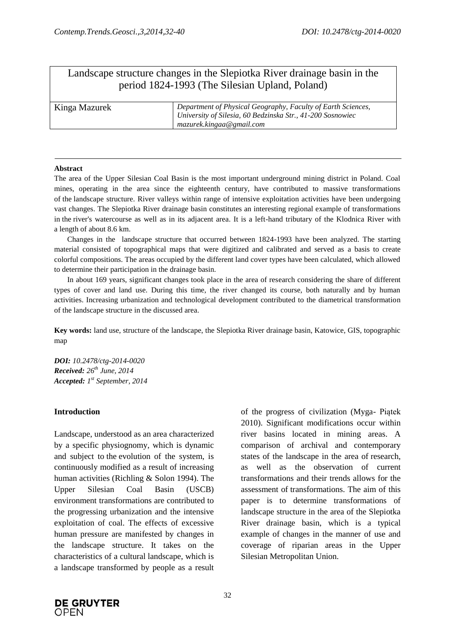# Landscape structure changes in the Slepiotka River drainage basin in the period 1824-1993 (The Silesian Upland, Poland)

| Kinga Mazurek | Department of Physical Geography, Faculty of Earth Sciences, |
|---------------|--------------------------------------------------------------|
|               | University of Silesia, 60 Bedzinska Str., 41-200 Sosnowiec   |
|               | mazurek.kingaa@gmail.com                                     |

#### **Abstract**

The area of the Upper Silesian Coal Basin is the most important underground mining district in Poland. Coal mines, operating in the area since the eighteenth century, have contributed to massive transformations of the landscape structure. River valleys within range of intensive exploitation activities have been undergoing vast changes. The Slepiotka River drainage basin constitutes an interesting regional example of transformations in the river's watercourse as well as in its adjacent area. It is a left-hand tributary of the Klodnica River with a length of about 8.6 km.

Changes in the landscape structure that occurred between 1824-1993 have been analyzed. The starting material consisted of topographical maps that were digitized and calibrated and served as a basis to create colorful compositions. The areas occupied by the different land cover types have been calculated, which allowed to determine their participation in the drainage basin.

In about 169 years, significant changes took place in the area of research considering the share of different types of cover and land use. During this time, the river changed its course, both naturally and by human activities. Increasing urbanization and technological development contributed to the diametrical transformation of the landscape structure in the discussed area.

**Key words:** land use, structure of the landscape, the Slepiotka River drainage basin, Katowice, GIS, topographic map

*DOI: 10.2478/ctg-2014-0020 Received: 26th June, 2014 Accepted: 1 st September, 2014*

### **Introduction**

Landscape, understood as an area characterized by a specific physiognomy, which is dynamic and subject to the evolution of the system, is continuously modified as a result of increasing human activities (Richling & Solon 1994). The Upper Silesian Coal Basin (USCB) environment transformations are contributed to the progressing urbanization and the intensive exploitation of coal. The effects of excessive human pressure are manifested by changes in the landscape structure. It takes on the characteristics of a cultural landscape, which is a landscape transformed by people as a result

of the progress of civilization (Myga- Piątek 2010). Significant modifications occur within river basins located in mining areas. A comparison of archival and contemporary states of the landscape in the area of research, as well as the observation of current transformations and their trends allows for the assessment of transformations. The aim of this paper is to determine transformations of landscape structure in the area of the Slepiotka River drainage basin, which is a typical example of changes in the manner of use and coverage of riparian areas in the Upper Silesian Metropolitan Union.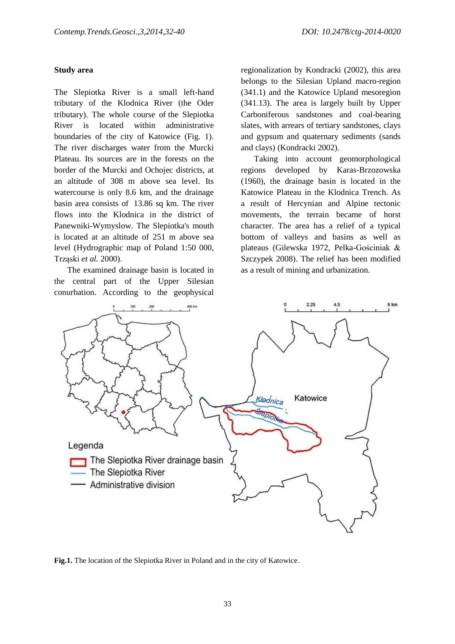#### **Study area**

The Slepiotka River is a small left-hand tributary of the Klodnica River (the Oder tributary). The whole course of the Slepiotka River is located within administrative boundaries of the city of Katowice (Fig. 1). The river discharges water from the Murcki Plateau. Its sources are in the forests on the border of the Murcki and Ochojec districts, at an altitude of 308 m above sea level. Its watercourse is only 8.6 km, and the drainage basin area consists of 13.86 sq km. The river flows into the Klodnica in the district of Panewniki-Wymyslow. The Slepiotka's mouth is located at an altitude of 251 m above sea level (Hydrographic map of Poland 1:50 000, Trząski *et al.* 2000).

The examined drainage basin is located in the central part of the Upper Silesian conurbation. According to the geophysical

regionalization by Kondracki (2002), this area belongs to the Silesian Upland macro-region (341.1) and the Katowice Upland mesoregion (341.13). The area is largely built by Upper Carboniferous sandstones and coal-bearing slates, with arrears of tertiary sandstones, clays and gypsum and quaternary sediments (sands and clays) (Kondracki 2002).

Taking into account geomorphological regions developed by Karas-Brzozowska (1960), the drainage basin is located in the Katowice Plateau in the Klodnica Trench. As a result of Hercynian and Alpine tectonic movements, the terrain became of horst character. The area has a relief of a typical bottom of valleys and basins as well as plateaus (Gilewska 1972, Pelka-Gościniak & Szczypek 2008). The relief has been modified as a result of mining and urbanization.



**Fig.1.** The location of the Slepiotka River in Poland and in the city of Katowice.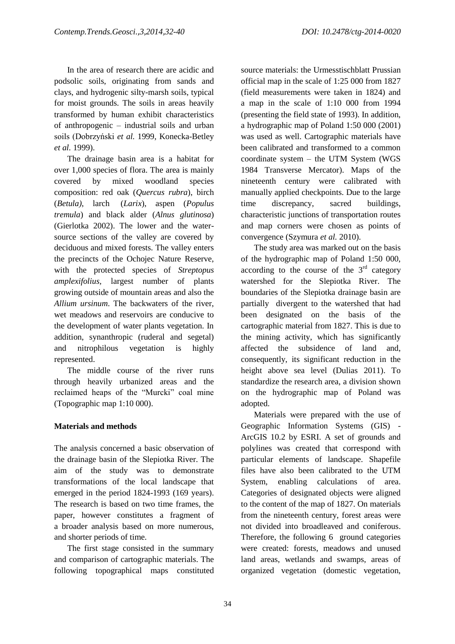In the area of research there are acidic and podsolic soils, originating from sands and clays, and hydrogenic silty-marsh soils, typical for moist grounds. The soils in areas heavily transformed by human exhibit characteristics of anthropogenic – industrial soils and urban soils (Dobrzyński *et al.* 1999, Konecka-Betley *et al.* 1999).

The drainage basin area is a habitat for over 1,000 species of flora. The area is mainly covered by mixed woodland species composition: red oak (*Quercus rubra*), birch (*Betula)*, larch (*Larix*), aspen (*Populus tremula*) and black alder (*Alnus glutinosa*) (Gierlotka 2002). The lower and the watersource sections of the valley are covered by deciduous and mixed forests. The valley enters the precincts of the Ochojec Nature Reserve, with the protected species of *Streptopus amplexifolius,* largest number of plants growing outside of mountain areas and also the *Allium ursinum*. The backwaters of the river, wet meadows and reservoirs are conducive to the development of water plants vegetation. In addition, synanthropic (ruderal and segetal) and nitrophilous vegetation is highly represented.

The middle course of the river runs through heavily urbanized areas and the reclaimed heaps of the "Murcki" coal mine (Topographic map 1:10 000).

# **Materials and methods**

The analysis concerned a basic observation of the drainage basin of the Slepiotka River. The aim of the study was to demonstrate transformations of the local landscape that emerged in the period 1824-1993 (169 years). The research is based on two time frames, the paper, however constitutes a fragment of a broader analysis based on more numerous, and shorter periods of time.

The first stage consisted in the summary and comparison of cartographic materials. The following topographical maps constituted source materials: the Urmesstischblatt Prussian official map in the scale of 1:25 000 from 1827 (field measurements were taken in 1824) and a map in the scale of 1:10 000 from 1994 (presenting the field state of 1993). In addition, a hydrographic map of Poland 1:50 000 (2001) was used as well. Cartographic materials have been calibrated and transformed to a common coordinate system – the UTM System (WGS 1984 Transverse Mercator). Maps of the nineteenth century were calibrated with manually applied checkpoints. Due to the large time discrepancy, sacred buildings, characteristic junctions of transportation routes and map corners were chosen as points of convergence (Szymura *et al.* 2010).

The study area was marked out on the basis of the hydrographic map of Poland 1:50 000, according to the course of the  $3<sup>rd</sup>$  category watershed for the Slepiotka River. The boundaries of the Slepiotka drainage basin are partially divergent to the watershed that had been designated on the basis of the cartographic material from 1827. This is due to the mining activity, which has significantly affected the subsidence of land and, consequently, its significant reduction in the height above sea level (Dulias 2011). To standardize the research area, a division shown on the hydrographic map of Poland was adopted.

Materials were prepared with the use of Geographic Information Systems (GIS) - ArcGIS 10.2 by ESRI. A set of grounds and polylines was created that correspond with particular elements of landscape. Shapefile files have also been calibrated to the UTM System, enabling calculations of area. Categories of designated objects were aligned to the content of the map of 1827. On materials from the nineteenth century, forest areas were not divided into broadleaved and coniferous. Therefore, the following 6 ground categories were created: forests, meadows and unused land areas, wetlands and swamps, areas of organized vegetation (domestic vegetation,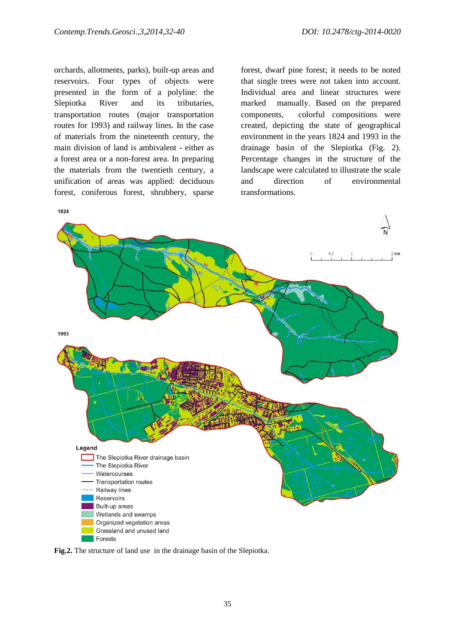orchards, allotments, parks), built-up areas and reservoirs. Four types of objects were presented in the form of a polyline: the Slepiotka River and its tributaries, transportation routes (major transportation routes for 1993) and railway lines. In the case of materials from the nineteenth century, the main division of land is ambivalent - either as a forest area or a non-forest area. In preparing the materials from the twentieth century, a unification of areas was applied: deciduous forest, coniferous forest, shrubbery, sparse

forest, dwarf pine forest; it needs to be noted that single trees were not taken into account. Individual area and linear structures were marked manually. Based on the prepared components, colorful compositions were created, depicting the state of geographical environment in the years 1824 and 1993 in the drainage basin of the Slepiotka (Fig. 2). Percentage changes in the structure of the landscape were calculated to illustrate the scale and direction of environmental transformations.



**Fig.2.** The structure of land use in the drainage basin of the Slepiotka.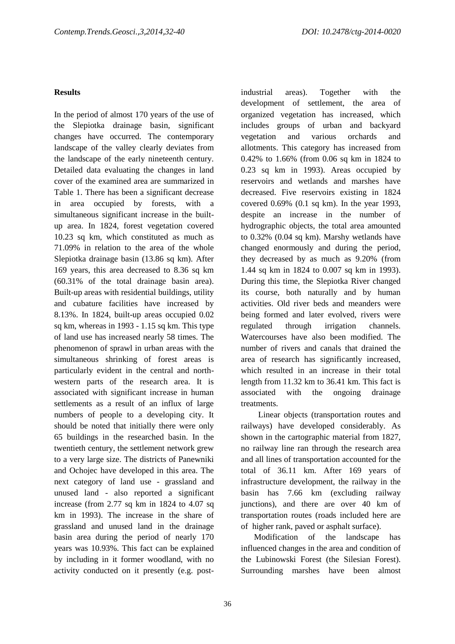### **Results**

In the period of almost 170 years of the use of the Slepiotka drainage basin, significant changes have occurred. The contemporary landscape of the valley clearly deviates from the landscape of the early nineteenth century. Detailed data evaluating the changes in land cover of the examined area are summarized in Table 1. There has been a significant decrease in area occupied by forests, with a simultaneous significant increase in the builtup area. In 1824, forest vegetation covered 10.23 sq km, which constituted as much as 71.09% in relation to the area of the whole Slepiotka drainage basin (13.86 sq km). After 169 years, this area decreased to 8.36 sq km (60.31% of the total drainage basin area). Built-up areas with residential buildings, utility and cubature facilities have increased by 8.13%. In 1824, built-up areas occupied 0.02 sq km, whereas in 1993 - 1.15 sq km. This type of land use has increased nearly 58 times. The phenomenon of sprawl in urban areas with the simultaneous shrinking of forest areas is particularly evident in the central and northwestern parts of the research area. It is associated with significant increase in human settlements as a result of an influx of large numbers of people to a developing city. It should be noted that initially there were only 65 buildings in the researched basin. In the twentieth century, the settlement network grew to a very large size. The districts of Panewniki and Ochojec have developed in this area. The next category of land use - grassland and unused land - also reported a significant increase (from 2.77 sq km in 1824 to 4.07 sq km in 1993). The increase in the share of grassland and unused land in the drainage basin area during the period of nearly 170 years was 10.93%. This fact can be explained by including in it former woodland, with no activity conducted on it presently (e.g. postindustrial areas). Together with the development of settlement, the area of organized vegetation has increased, which includes groups of urban and backyard vegetation and various orchards and allotments. This category has increased from 0.42% to 1.66% (from 0.06 sq km in 1824 to 0.23 sq km in 1993). Areas occupied by reservoirs and wetlands and marshes have decreased. Five reservoirs existing in 1824 covered 0.69% (0.1 sq km). In the year 1993, despite an increase in the number of hydrographic objects, the total area amounted to 0.32% (0.04 sq km). Marshy wetlands have changed enormously and during the period, they decreased by as much as 9.20% (from 1.44 sq km in 1824 to 0.007 sq km in 1993). During this time, the Slepiotka River changed its course, both naturally and by human activities. Old river beds and meanders were being formed and later evolved, rivers were regulated through irrigation channels. Watercourses have also been modified. The number of rivers and canals that drained the area of research has significantly increased, which resulted in an increase in their total length from 11.32 km to 36.41 km. This fact is associated with the ongoing drainage treatments.

 Linear objects (transportation routes and railways) have developed considerably. As shown in the cartographic material from 1827, no railway line ran through the research area and all lines of transportation accounted for the total of 36.11 km. After 169 years of infrastructure development, the railway in the basin has 7.66 km (excluding railway junctions), and there are over 40 km of transportation routes (roads included here are of higher rank, paved or asphalt surface).

Modification of the landscape has influenced changes in the area and condition of the Lubinowski Forest (the Silesian Forest). Surrounding marshes have been almost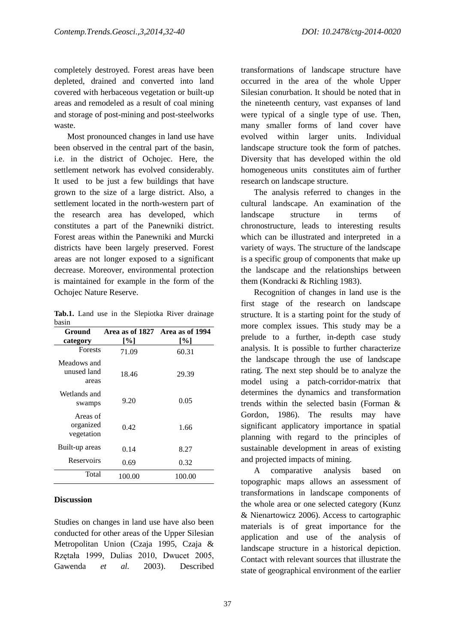completely destroyed. Forest areas have been depleted, drained and converted into land covered with herbaceous vegetation or built-up areas and remodeled as a result of coal mining and storage of post-mining and post-steelworks waste.

Most pronounced changes in land use have been observed in the central part of the basin, i.e. in the district of Ochojec. Here, the settlement network has evolved considerably. It used to be just a few buildings that have grown to the size of a large district. Also, a settlement located in the north-western part of the research area has developed, which constitutes a part of the Panewniki district. Forest areas within the Panewniki and Murcki districts have been largely preserved. Forest areas are not longer exposed to a significant decrease. Moreover, environmental protection is maintained for example in the form of the Ochojec Nature Reserve.

|       |  |  | Tab.1. Land use in the Slepiotka River drainage |  |
|-------|--|--|-------------------------------------------------|--|
| basin |  |  |                                                 |  |

| Ground                              |        | Area as of 1827 Area as of 1994 |
|-------------------------------------|--------|---------------------------------|
| category                            | [%]    | [%]                             |
| <b>Forests</b>                      | 71.09  | 60.31                           |
| Meadows and<br>unused land<br>areas | 18.46  | 29.39                           |
| Wetlands and<br>swamps              | 9.20   | 0.05                            |
| Areas of<br>organized<br>vegetation | 0.42   | 1.66                            |
| Built-up areas                      | 0.14   | 8.27                            |
| Reservoirs                          | 0.69   | 0.32                            |
| Total                               | 100.00 | 100.00                          |

### **Discussion**

Studies on changes in land use have also been conducted for other areas of the Upper Silesian Metropolitan Union (Czaja 1995, Czaja & Rzętała 1999, Dulias 2010, Dwucet 2005, Gawenda *et al.* 2003). Described transformations of landscape structure have occurred in the area of the whole Upper Silesian conurbation. It should be noted that in the nineteenth century, vast expanses of land were typical of a single type of use. Then, many smaller forms of land cover have evolved within larger units. Individual landscape structure took the form of patches. Diversity that has developed within the old homogeneous units constitutes aim of further research on landscape structure.

The analysis referred to changes in the cultural landscape. An examination of the landscape structure in terms of chronostructure, leads to interesting results which can be illustrated and interpreted in a variety of ways. The structure of the landscape is a specific group of components that make up the landscape and the relationships between them (Kondracki & Richling 1983).

Recognition of changes in land use is the first stage of the research on landscape structure. It is a starting point for the study of more complex issues. This study may be a prelude to a further, in-depth case study analysis. It is possible to further characterize the landscape through the use of landscape rating. The next step should be to analyze the model using a patch-corridor-matrix that determines the dynamics and transformation trends within the selected basin (Forman & Gordon, 1986). The results may have significant applicatory importance in spatial planning with regard to the principles of sustainable development in areas of existing and projected impacts of mining.

A comparative analysis based on topographic maps allows an assessment of transformations in landscape components of the whole area or one selected category (Kunz & Nienartowicz 2006). Access to cartographic materials is of great importance for the application and use of the analysis of landscape structure in a historical depiction. Contact with relevant sources that illustrate the state of geographical environment of the earlier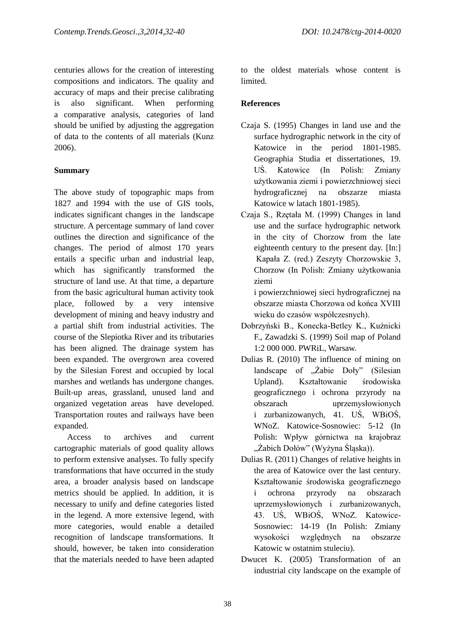centuries allows for the creation of interesting compositions and indicators. The quality and accuracy of maps and their precise calibrating is also significant. When performing a comparative analysis, categories of land should be unified by adjusting the aggregation of data to the contents of all materials (Kunz 2006).

### **Summary**

The above study of topographic maps from 1827 and 1994 with the use of GIS tools, indicates significant changes in the landscape structure. A percentage summary of land cover outlines the direction and significance of the changes. The period of almost 170 years entails a specific urban and industrial leap, which has significantly transformed the structure of land use. At that time, a departure from the basic agricultural human activity took place, followed by a very intensive development of mining and heavy industry and a partial shift from industrial activities. The course of the Slepiotka River and its tributaries has been aligned. The drainage system has been expanded. The overgrown area covered by the Silesian Forest and occupied by local marshes and wetlands has undergone changes. Built-up areas, grassland, unused land and organized vegetation areas have developed. Transportation routes and railways have been expanded.

Access to archives and current cartographic materials of good quality allows to perform extensive analyses. To fully specify transformations that have occurred in the study area, a broader analysis based on landscape metrics should be applied. In addition, it is necessary to unify and define categories listed in the legend. A more extensive legend, with more categories, would enable a detailed recognition of landscape transformations. It should, however, be taken into consideration that the materials needed to have been adapted to the oldest materials whose content is limited.

## **References**

- Czaja S. (1995) Changes in land use and the surface hydrographic network in the city of Katowice in the period 1801-1985. Geographia Studia et dissertationes, 19. UŚ. Katowice (In Polish: Zmiany użytkowania ziemi i powierzchniowej sieci hydrograficznej na obszarze miasta Katowice w latach 1801-1985).
- Czaja S., Rzętała M. (1999) Changes in land use and the surface hydrographic network in the city of Chorzow from the late eighteenth century to the present day. [In:] Kapała Z. (red.) Zeszyty Chorzowskie 3, Chorzow (In Polish: Zmiany użytkowania ziemi

i powierzchniowej sieci hydrograficznej na obszarze miasta Chorzowa od końca XVIII wieku do czasów współczesnych).

- Dobrzyński B., Konecka-Betley K., Kuźnicki F., Zawadzki S. (1999) Soil map of Poland 1:2 000 000. PWRiL, Warsaw.
- Dulias R. (2010) The influence of mining on landscape of "Żabie Doły" (Silesian Upland). Kształtowanie środowiska geograficznego i ochrona przyrody na obszarach uprzemysłowionych i zurbanizowanych, 41. UŚ, WBiOŚ, WNoZ. Katowice-Sosnowiec: 5-12 (In Polish: Wpływ górnictwa na krajobraz "Żabich Dołów" (Wyżyna Śląska)).
- Dulias R. (2011) Changes of relative heights in the area of Katowice over the last century. Kształtowanie środowiska geograficznego i ochrona przyrody na obszarach uprzemysłowionych i zurbanizowanych, 43. UŚ, WBiOŚ, WNoZ. Katowice-Sosnowiec: 14-19 (In Polish: Zmiany wysokości względnych na obszarze Katowic w ostatnim stuleciu).
- Dwucet K. (2005) Transformation of an industrial city landscape on the example of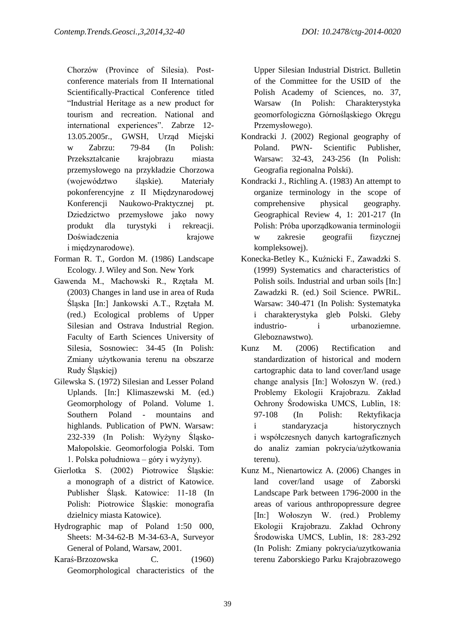Chorzów (Province of Silesia). Postconference materials from II International Scientifically-Practical Conference titled "Industrial Heritage as a new product for tourism and recreation. National and international experiences". Zabrze 12- 13.05.2005r., GWSH, Urząd Miejski w Zabrzu: 79-84 (In Polish: Przekształcanie krajobrazu miasta przemysłowego na przykładzie Chorzowa (województwo śląskie). Materiały pokonferencyjne z II Międzynarodowej Konferencji Naukowo-Praktycznej pt. Dziedzictwo przemysłowe jako nowy produkt dla turystyki i rekreacji. Doświadczenia krajowe i międzynarodowe).

- Forman R. T., Gordon M. (1986) Landscape Ecology. J. Wiley and Son. New York
- Gawenda M., Machowski R., Rzętała M. (2003) Changes in land use in area of Ruda Śląska [In:] Jankowski A.T., Rzętała M. (red.) Ecological problems of Upper Silesian and Ostrava Industrial Region. Faculty of Earth Sciences University of Silesia, Sosnowiec: 34-45 (In Polish: Zmiany użytkowania terenu na obszarze Rudy Śląskiej)
- Gilewska S. (1972) Silesian and Lesser Poland Uplands. [In:] Klimaszewski M. (ed.) Geomorphology of Poland. Volume 1. Southern Poland - mountains and highlands. Publication of PWN. Warsaw: 232-339 (In Polish: Wyżyny Śląsko-Małopolskie. Geomorfologia Polski. Tom 1. Polska południowa – góry i wyżyny).
- Gierlotka S. (2002) Piotrowice Śląskie: a monograph of a district of Katowice. Publisher Śląsk. Katowice: 11-18 (In Polish: Piotrowice Śląskie: monografia dzielnicy miasta Katowice).
- Hydrographic map of Poland 1:50 000, Sheets: M-34-62-B M-34-63-A, Surveyor General of Poland, Warsaw, 2001.
- Karaś-Brzozowska C. (1960) Geomorphological characteristics of the

Upper Silesian Industrial District. Bulletin of the Committee for the USID of the Polish Academy of Sciences, no. 37, Warsaw (In Polish: Charakterystyka geomorfologiczna Górnośląskiego Okręgu Przemysłowego).

- Kondracki J. (2002) Regional geography of Poland. PWN- Scientific Publisher, Warsaw: 32-43, 243-256 (In Polish: Geografia regionalna Polski).
- Kondracki J., Richling A. (1983) An attempt to organize terminology in the scope of comprehensive physical geography. Geographical Review 4, 1: 201-217 (In Polish: Próba uporządkowania terminologii w zakresie geografii fizycznej kompleksowej).
- Konecka-Betley K., Kuźnicki F., Zawadzki S. (1999) Systematics and characteristics of Polish soils. Industrial and urban soils [In:] Zawadzki R. (ed.) Soil Science. PWRiL. Warsaw: 340-471 (In Polish: Systematyka i charakterystyka gleb Polski. Gleby industrio- i urbanoziemne. Gleboznawstwo).
- Kunz M. (2006) Rectification and standardization of historical and modern cartographic data to land cover/land usage change analysis [In:] Wołoszyn W. (red.) Problemy Ekologii Krajobrazu. Zakład Ochrony Środowiska UMCS, Lublin, 18: 97-108 (In Polish: Rektyfikacja i standaryzacja historycznych i współczesnych danych kartograficznych do analiz zamian pokrycia/użytkowania terenu).
- Kunz M., Nienartowicz A. (2006) Changes in land cover/land usage of Zaborski Landscape Park between 1796-2000 in the areas of various anthropopressure degree [In:] Wołoszyn W. (red.) Problemy Ekologii Krajobrazu. Zakład Ochrony Środowiska UMCS, Lublin, 18: 283-292 (In Polish: Zmiany pokrycia/uzytkowania terenu Zaborskiego Parku Krajobrazowego